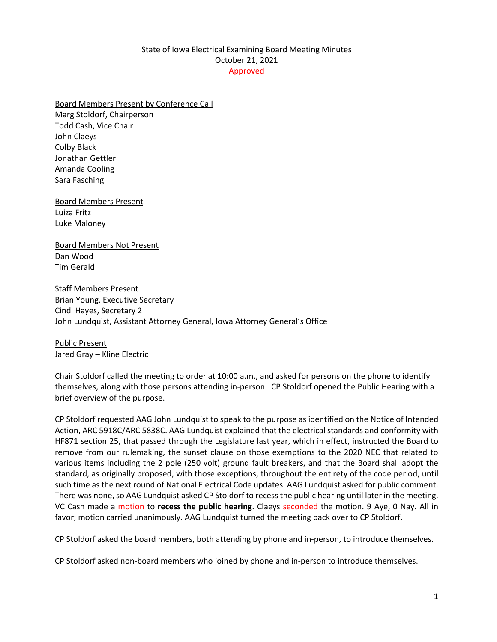## State of Iowa Electrical Examining Board Meeting Minutes October 21, 2021 Approved

## Board Members Present by Conference Call

Marg Stoldorf, Chairperson Todd Cash, Vice Chair John Claeys Colby Black Jonathan Gettler Amanda Cooling Sara Fasching

Board Members Present Luiza Fritz Luke Maloney

Board Members Not Present Dan Wood Tim Gerald

Staff Members Present Brian Young, Executive Secretary Cindi Hayes, Secretary 2 John Lundquist, Assistant Attorney General, Iowa Attorney General's Office

Public Present Jared Gray – Kline Electric

Chair Stoldorf called the meeting to order at 10:00 a.m., and asked for persons on the phone to identify themselves, along with those persons attending in-person. CP Stoldorf opened the Public Hearing with a brief overview of the purpose.

CP Stoldorf requested AAG John Lundquist to speak to the purpose as identified on the Notice of Intended Action, ARC 5918C/ARC 5838C. AAG Lundquist explained that the electrical standards and conformity with HF871 section 25, that passed through the Legislature last year, which in effect, instructed the Board to remove from our rulemaking, the sunset clause on those exemptions to the 2020 NEC that related to various items including the 2 pole (250 volt) ground fault breakers, and that the Board shall adopt the standard, as originally proposed, with those exceptions, throughout the entirety of the code period, until such time as the next round of National Electrical Code updates. AAG Lundquist asked for public comment. There was none, so AAG Lundquist asked CP Stoldorf to recess the public hearing until later in the meeting. VC Cash made a motion to **recess the public hearing**. Claeys seconded the motion. 9 Aye, 0 Nay. All in favor; motion carried unanimously. AAG Lundquist turned the meeting back over to CP Stoldorf.

CP Stoldorf asked the board members, both attending by phone and in-person, to introduce themselves.

CP Stoldorf asked non-board members who joined by phone and in-person to introduce themselves.